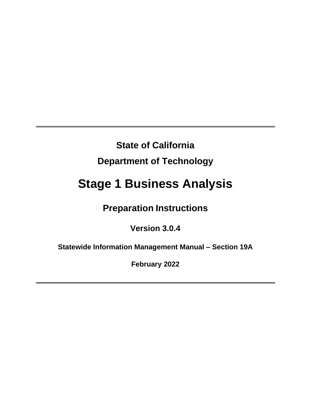# **State of California**

# **Department of Technology**

# **Stage 1 Business Analysis**

# **Preparation Instructions**

# **Version 3.0.4**

**Statewide Information Management Manual – Section 19A**

**February 2022**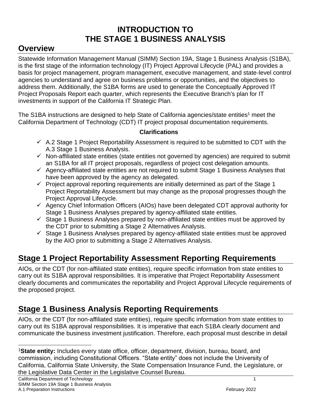# **INTRODUCTION TO THE STAGE 1 BUSINESS ANALYSIS**

# <span id="page-1-1"></span><span id="page-1-0"></span>**Overview**

Statewide Information Management Manual (SIMM) Section 19A, Stage 1 Business Analysis (S1BA), is the first stage of the information technology (IT) Project Approval Lifecycle (PAL) and provides a basis for project management, program management, executive management, and state-level control agencies to understand and agree on business problems or opportunities, and the objectives to address them. Additionally, the S1BA forms are used to generate the Conceptually Approved IT Project Proposals Report each quarter, which represents the Executive Branch's plan for IT investments in support of the California IT Strategic Plan.

The S1BA instructions are designed to help State of California agencies/state entities<sup>1</sup> meet the California Department of Technology (CDT) IT project proposal documentation requirements.

## **Clarifications**

- $\checkmark$  A.2 Stage 1 Project Reportability Assessment is required to be submitted to CDT with the A.3 Stage 1 Business Analysis.
- ✓ Non-affiliated state entities (state entities not governed by agencies) are required to submit an S1BA for all IT project proposals, regardless of project cost delegation amounts.
- $\checkmark$  Agency-affiliated state entities are not required to submit Stage 1 Business Analyses that have been approved by the agency as delegated.
- $\checkmark$  Project approval reporting requirements are initially determined as part of the Stage 1 Project Reportability Assessment but may change as the proposal progresses though the Project Approval Lifecycle.
- $\checkmark$  Agency Chief Information Officers (AIOs) have been delegated CDT approval authority for Stage 1 Business Analyses prepared by agency-affiliated state entities.
- $\checkmark$  Stage 1 Business Analyses prepared by non-affiliated state entities must be approved by the CDT prior to submitting a Stage 2 Alternatives Analysis.
- ✓ Stage 1 Business Analyses prepared by agency-affiliated state entities must be approved by the AIO prior to submitting a Stage 2 Alternatives Analysis.

# <span id="page-1-2"></span>**Stage 1 Project Reportability Assessment Reporting Requirements**

AIOs, or the CDT (for non-affiliated state entities), require specific information from state entities to carry out its S1BA approval responsibilities. It is imperative that Project Reportability Assessment clearly documents and communicates the reportability and Project Approval Lifecycle requirements of the proposed project.

# <span id="page-1-3"></span>**Stage 1 Business Analysis Reporting Requirements**

AIOs, or the CDT (for non-affiliated state entities), require specific information from state entities to carry out its S1BA approval responsibilities. It is imperative that each S1BA clearly document and communicate the business investment justification. Therefore, each proposal must describe in detail

<sup>1</sup>**State entity:** Includes every state office, officer, department, division, bureau, board, and commission, including Constitutional Officers. "State entity" does not include the University of California, California State University, the State Compensation Insurance Fund, the Legislature, or the Legislative Data Center in the Legislative Counsel Bureau.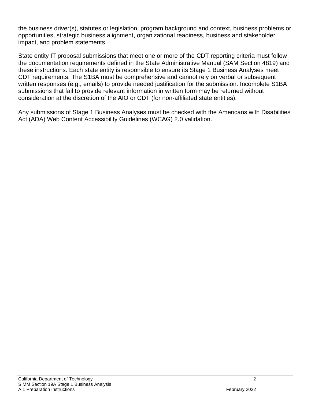the business driver(s), statutes or legislation, program background and context, business problems or opportunities, strategic business alignment, organizational readiness, business and stakeholder impact, and problem statements.

State entity IT proposal submissions that meet one or more of the CDT reporting criteria must follow the documentation requirements defined in the State Administrative Manual (SAM Section 4819) and these instructions. Each state entity is responsible to ensure its Stage 1 Business Analyses meet CDT requirements. The S1BA must be comprehensive and cannot rely on verbal or subsequent written responses (e.g., emails) to provide needed justification for the submission. Incomplete S1BA submissions that fail to provide relevant information in written form may be returned without consideration at the discretion of the AIO or CDT (for non-affiliated state entities).

Any submissions of Stage 1 Business Analyses must be checked with the Americans with Disabilities Act (ADA) Web Content Accessibility Guidelines (WCAG) 2.0 validation.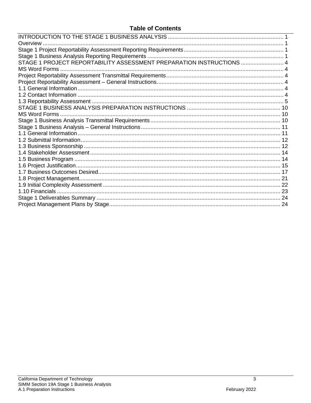## **Table of Contents**

| Overview                                                             |  |
|----------------------------------------------------------------------|--|
|                                                                      |  |
|                                                                      |  |
| STAGE 1 PROJECT REPORTABILITY ASSESSMENT PREPARATION INSTRUCTIONS  4 |  |
|                                                                      |  |
|                                                                      |  |
|                                                                      |  |
|                                                                      |  |
|                                                                      |  |
|                                                                      |  |
|                                                                      |  |
|                                                                      |  |
|                                                                      |  |
|                                                                      |  |
|                                                                      |  |
|                                                                      |  |
|                                                                      |  |
|                                                                      |  |
|                                                                      |  |
|                                                                      |  |
|                                                                      |  |
|                                                                      |  |
|                                                                      |  |
|                                                                      |  |
|                                                                      |  |
|                                                                      |  |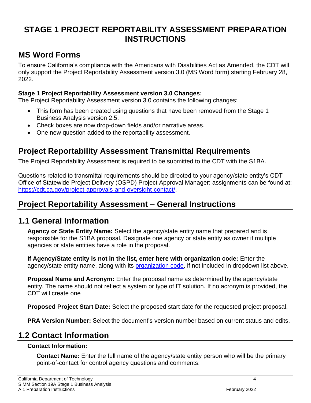# <span id="page-4-0"></span>**STAGE 1 PROJECT REPORTABILITY ASSESSMENT PREPARATION INSTRUCTIONS**

# <span id="page-4-1"></span>**MS Word Forms**

To ensure California's compliance with the Americans with Disabilities Act as Amended, the CDT will only support the Project Reportability Assessment version 3.0 (MS Word form) starting February 28, 2022.

## **Stage 1 Project Reportability Assessment version 3.0 Changes:**

The Project Reportability Assessment version 3.0 contains the following changes:

- This form has been created using questions that have been removed from the Stage 1 Business Analysis version 2.5.
- Check boxes are now drop-down fields and/or narrative areas.
- One new question added to the reportability assessment.

# <span id="page-4-2"></span>**Project Reportability Assessment Transmittal Requirements**

The Project Reportability Assessment is required to be submitted to the CDT with the S1BA.

Questions related to transmittal requirements should be directed to your agency/state entity's CDT Office of Statewide Project Delivery (OSPD) Project Approval Manager; assignments can be found at: [https://cdt.ca.gov/project-approvals-and-oversight-contact/.](https://cdt.ca.gov/project-approvals-and-oversight-contact/)

# <span id="page-4-3"></span>**Project Reportability Assessment – General Instructions**

## <span id="page-4-4"></span>**1.1 General Information**

**Agency or State Entity Name:** Select the agency/state entity name that prepared and is responsible for the S1BA proposal. Designate one agency or state entity as owner if multiple agencies or state entities have a role in the proposal.

**If Agency/State entity is not in the list, enter here with organization code:** Enter the agency/state entity name, along with its [organization code,](https://dof.ca.gov/Accounting/Policies_and_Procedures/Uniform_Codes_Manual/Organization_Codes/) if not included in dropdown list above.

**Proposal Name and Acronym:** Enter the proposal name as determined by the agency/state entity. The name should not reflect a system or type of IT solution. If no acronym is provided, the CDT will create one

**Proposed Project Start Date:** Select the proposed start date for the requested project proposal.

**PRA Version Number:** Select the document's version number based on current status and edits.

# <span id="page-4-5"></span>**1.2 Contact Information**

#### **Contact Information:**

**Contact Name:** Enter the full name of the agency/state entity person who will be the primary point-of-contact for control agency questions and comments.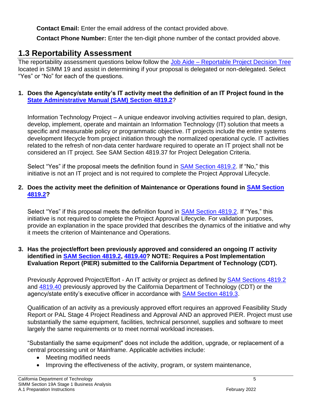**Contact Email:** Enter the email address of the contact provided above.

**Contact Phone Number:** Enter the ten-digit phone number of the contact provided above.

# <span id="page-5-0"></span>**1.3 Reportability Assessment**

The reportability assessment questions below follow the Job Aide – [Reportable Project Decision Tree](https://cdt.ca.gov/wp-content/uploads/2019/07/Reportable_Project_Decision_Tree.pdf) located in SIMM 19 and assist in determining if your proposal is delegated or non-delegated. Select "Yes" or "No" for each of the questions.

## **1. Does the Agency/state entity's IT activity meet the definition of an IT Project found in the [State Administrative Manual \(SAM\) Section 4819.2](https://www.dgs.ca.gov/Resources/SAM/TOC)**?

Information Technology Project – A unique endeavor involving activities required to plan, design, develop, implement, operate and maintain an Information Technology (IT) solution that meets a specific and measurable policy or programmatic objective. IT projects include the entire systems development lifecycle from project initiation through the normalized operational cycle. IT activities related to the refresh of non-data center hardware required to operate an IT project shall not be considered an IT project. See SAM Section 4819.37 for Project Delegation Criteria.

Select "Yes" if the proposal meets the definition found in [SAM Section 4819.2.](https://www.dgs.ca.gov/Resources/SAM/TOC) If "No," this initiative is not an IT project and is not required to complete the Project Approval Lifecycle.

## **2. Does the activity meet the definition of Maintenance or Operations found in [SAM Section](https://www.dgs.ca.gov/Resources/SAM/TOC)  [4819.2?](https://www.dgs.ca.gov/Resources/SAM/TOC)**

Select "Yes" if this proposal meets the definition found in [SAM Section 4819.2.](https://www.dgs.ca.gov/Resources/SAM/TOC) If "Yes," this initiative is not required to complete the Project Approval Lifecycle. For validation purposes, provide an explanation in the space provided that describes the dynamics of the initiative and why it meets the criterion of Maintenance and Operations.

#### **3. Has the project/effort been previously approved and considered an ongoing IT activity identified in [SAM Section 4819.2, 4819.40?](https://www.dgs.ca.gov/Resources/SAM/TOC) NOTE: Requires a Post Implementation Evaluation Report (PIER) submitted to the California Department of Technology (CDT).**

Previously Approved Project/Effort - An IT activity or project as defined by [SAM Sections 4819.2](https://www.dgs.ca.gov/Resources/SAM/TOC) and [4819.40](https://www.dgs.ca.gov/Resources/SAM/TOC) previously approved by the California Department of Technology (CDT) or the agency/state entity's executive officer in accordance with [SAM Section 4819.3.](https://www.dgs.ca.gov/Resources/SAM/TOC)

Qualification of an activity as a previously approved effort requires an approved Feasibility Study Report or PAL Stage 4 Project Readiness and Approval AND an approved PIER. Project must use substantially the same equipment, facilities, technical personnel, supplies and software to meet largely the same requirements or to meet normal workload increases.

"Substantially the same equipment" does not include the addition, upgrade, or replacement of a central processing unit or Mainframe. Applicable activities include:

- Meeting modified needs
- Improving the effectiveness of the activity, program, or system maintenance,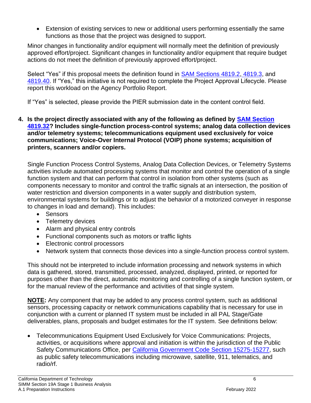• Extension of existing services to new or additional users performing essentially the same functions as those that the project was designed to support.

Minor changes in functionality and/or equipment will normally meet the definition of previously approved effort/project. Significant changes in functionality and/or equipment that require budget actions do not meet the definition of previously approved effort/project.

Select "Yes" if this proposal meets the definition found in [SAM Sections 4819.2,](https://www.dgs.ca.gov/Resources/SAM/TOC) [4819.3,](https://www.dgs.ca.gov/Resources/SAM/TOC) and [4819.40.](https://www.dgs.ca.gov/Resources/SAM/TOC) If "Yes," this initiative is not required to complete the Project Approval Lifecycle. Please report this workload on the Agency Portfolio Report.

If "Yes" is selected, please provide the PIER submission date in the content control field.

**4. Is the project directly associated with any of the following as defined by [SAM Section](https://www.dgs.ca.gov/Resources/SAM/TOC)  [4819.32?](https://www.dgs.ca.gov/Resources/SAM/TOC) Includes single-function process-control systems; analog data collection devices and/or telemetry systems; telecommunications equipment used exclusively for voice communications; Voice-Over Internal Protocol (VOIP) phone systems; acquisition of printers, scanners and/or copiers.**

Single Function Process Control Systems, Analog Data Collection Devices, or Telemetry Systems activities include automated processing systems that monitor and control the operation of a single function system and that can perform that control in isolation from other systems (such as components necessary to monitor and control the traffic signals at an intersection, the position of water restriction and diversion components in a water supply and distribution system, environmental systems for buildings or to adjust the behavior of a motorized conveyer in response to changes in load and demand). This includes:

- Sensors
- Telemetry devices
- Alarm and physical entry controls
- Functional components such as motors or traffic lights
- Electronic control processors
- Network system that connects those devices into a single-function process control system.

This should not be interpreted to include information processing and network systems in which data is gathered, stored, transmitted, processed, analyzed, displayed, printed, or reported for purposes other than the direct, automatic monitoring and controlling of a single function system, or for the manual review of the performance and activities of that single system.

**NOTE:** Any component that may be added to any process control system, such as additional sensors, processing capacity or network communications capability that is necessary for use in conjunction with a current or planned IT system must be included in all PAL Stage/Gate deliverables, plans, proposals and budget estimates for the IT system. See definitions below:

• Telecommunications Equipment Used Exclusively for Voice Communications: Projects, activities, or acquisitions where approval and initiation is within the jurisdiction of the Public Safety Communications Office, per [California Government Code Section 15275-15277,](https://leginfo.legislature.ca.gov/faces/codesTOCSelected.xhtml?tocCode=GOV) such as public safety telecommunications including microwave, satellite, 911, telematics, and radio/rf.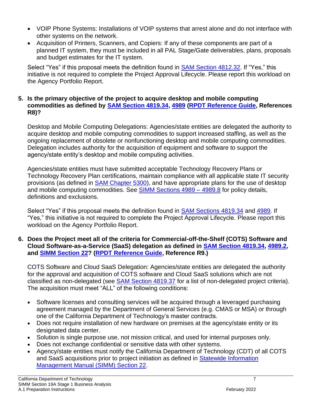- VOIP Phone Systems: Installations of VOIP systems that arrest alone and do not interface with other systems on the network.
- Acquisition of Printers, Scanners, and Copiers: If any of these components are part of a planned IT system, they must be included in all PAL Stage/Gate deliverables, plans, proposals and budget estimates for the IT system.

Select "Yes" if this proposal meets the definition found in [SAM Section 4812.32.](https://www.dgs.ca.gov/Resources/SAM/TOC) If "Yes," this initiative is not required to complete the Project Approval Lifecycle. Please report this workload on the Agency Portfolio Report.

#### **5. Is the primary objective of the project to acquire desktop and mobile computing commodities as defined by [SAM Section 4819.34, 4989](https://www.dgs.ca.gov/Resources/SAM/TOC) [\(RPDT Reference Guide,](https://cdt.ca.gov/wp-content/uploads/2019/07/Reportable_Project_Decision_Tree_Reference_Guide.pdf) References R8)?**

Desktop and Mobile Computing Delegations: Agencies/state entities are delegated the authority to acquire desktop and mobile computing commodities to support increased staffing, as well as the ongoing replacement of obsolete or nonfunctioning desktop and mobile computing commodities. Delegation includes authority for the acquisition of equipment and software to support the agency/state entity's desktop and mobile computing activities.

Agencies/state entities must have submitted acceptable Technology Recovery Plans or Technology Recovery Plan certifications, maintain compliance with all applicable state IT security provisions (as defined in [SAM Chapter 5300\)](https://www.dgs.ca.gov/Resources/SAM/TOC), and have appropriate plans for the use of desktop and mobile computing commodities. See **SIMM Sections 4989 - 4989.8** for policy details, definitions and exclusions.

Select "Yes" if this proposal meets the definition found in [SAM Sections 4819.34](https://www.dgs.ca.gov/Resources/SAM/TOC) and [4989.](https://www.dgs.ca.gov/Resources/SAM/TOC) If "Yes," this initiative is not required to complete the Project Approval Lifecycle. Please report this workload on the Agency Portfolio Report.

**6. Does the Project meet all of the criteria for Commercial-off-the-Shelf (COTS) Software and Cloud Software-as-a-Service (SaaS) delegation as defined in [SAM Section 4819.34, 4989.2,](https://www.dgs.ca.gov/Resources/SAM/TOC) and [SIMM Section 22?](https://cdt.ca.gov/policy/simm/) [\(RPDT Reference Guide,](https://cdt.ca.gov/wp-content/uploads/2019/07/Reportable_Project_Decision_Tree_Reference_Guide.pdf) Reference R9.)**

COTS Software and Cloud SaaS Delegation: Agencies/state entities are delegated the authority for the approval and acquisition of COTS software and Cloud SaaS solutions which are not classified as non-delegated (see **SAM Section 4819.37** for a list of non-delegated project criteria). The acquisition must meet "ALL" of the following conditions:

- Software licenses and consulting services will be acquired through a leveraged purchasing agreement managed by the Department of General Services (e.g. CMAS or MSA) or through one of the California Department of Technology's master contracts.
- Does not require installation of new hardware on premises at the agency/state entity or its designated data center.
- Solution is single purpose use, not mission critical, and used for internal purposes only.
- Does not exchange confidential or sensitive data with other systems.
- Agency/state entities must notify the California Department of Technology (CDT) of all COTS and SaaS acquisitions prior to project initiation as defined in [Statewide Information](https://cdt.ca.gov/policy/simm/)  [Management Manual \(SIMM\) Section 22.](https://cdt.ca.gov/policy/simm/)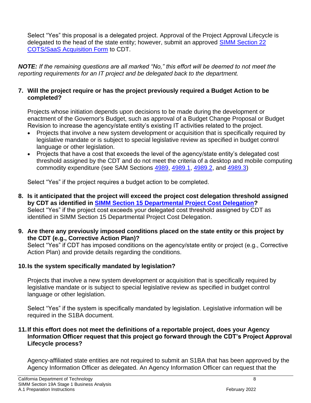Select "Yes" this proposal is a delegated project. Approval of the Project Approval Lifecycle is delegated to the head of the state entity; however, submit an approved SIMM Section 22 [COTS/SaaS Acquisition Form](https://cdt.ca.gov/policy/simm/) to CDT.

*NOTE: If the remaining questions are all marked "No," this effort will be deemed to not meet the reporting requirements for an IT project and be delegated back to the department.*

#### **7. Will the project require or has the project previously required a Budget Action to be completed?**

Projects whose initiation depends upon decisions to be made during the development or enactment of the Governor's Budget, such as approval of a Budget Change Proposal or Budget Revision to increase the agency/state entity's existing IT activities related to the project.

- Projects that involve a new system development or acquisition that is specifically required by legislative mandate or is subject to special legislative review as specified in budget control language or other legislation.
- Projects that have a cost that exceeds the level of the agency/state entity's delegated cost threshold assigned by the CDT and do not meet the criteria of a desktop and mobile computing commodity expenditure (see SAM Sections [4989, 4989.1, 4989.2,](https://www.dgs.ca.gov/Resources/SAM/TOC) and [4989.3\)](https://www.dgs.ca.gov/Resources/SAM/TOC)

Select "Yes" if the project requires a budget action to be completed.

- **8. Is it anticipated that the project will exceed the project cost delegation threshold assigned by CDT as identified in [SIMM Section 15 Departmental Project Cost Delegation?](https://cdt.ca.gov/project-approvals-and-oversight-contact/)**  Select "Yes" if the project cost exceeds your delegated cost threshold assigned by CDT as identified in [SIMM Section 15 Departmental Project Cost Delegation.](https://cdt.ca.gov/project-approvals-and-oversight-contact/)
- **9. Are there any previously imposed conditions placed on the state entity or this project by the CDT (e.g., Corrective Action Plan)?**

Select "Yes" if CDT has imposed conditions on the agency/state entity or project (e.g., Corrective Action Plan) and provide details regarding the conditions.

## **10.Is the system specifically mandated by legislation?**

Projects that involve a new system development or acquisition that is specifically required by legislative mandate or is subject to special legislative review as specified in budget control language or other legislation.

Select "Yes" if the system is specifically mandated by legislation. Legislative information will be required in the S1BA document.

## **11.If this effort does not meet the definitions of a reportable project, does your Agency Information Officer request that this project go forward through the CDT's Project Approval Lifecycle process?**

Agency-affiliated state entities are not required to submit an S1BA that has been approved by the Agency Information Officer as delegated. An Agency Information Officer can request that the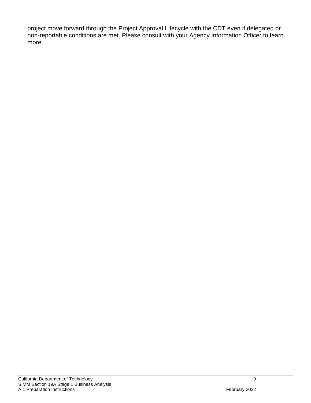project move forward through the Project Approval Lifecycle with the CDT even if delegated or non-reportable conditions are met. Please consult with your Agency Information Officer to learn more.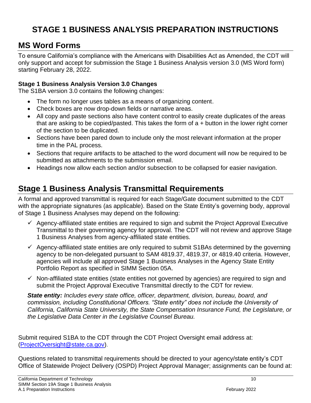# <span id="page-10-0"></span>**STAGE 1 BUSINESS ANALYSIS PREPARATION INSTRUCTIONS**

# <span id="page-10-1"></span>**MS Word Forms**

To ensure California's compliance with the Americans with Disabilities Act as Amended, the CDT will only support and accept for submission the Stage 1 Business Analysis version 3.0 (MS Word form) starting February 28, 2022.

## **Stage 1 Business Analysis Version 3.0 Changes**

The S1BA version 3.0 contains the following changes:

- The form no longer uses tables as a means of organizing content.
- Check boxes are now drop-down fields or narrative areas.
- All copy and paste sections also have content control to easily create duplicates of the areas that are asking to be copied/pasted. This takes the form of a + button in the lower right corner of the section to be duplicated.
- Sections have been pared down to include only the most relevant information at the proper time in the PAL process.
- Sections that require artifacts to be attached to the word document will now be required to be submitted as attachments to the submission email.
- Headings now allow each section and/or subsection to be collapsed for easier navigation.

# <span id="page-10-2"></span>**Stage 1 Business Analysis Transmittal Requirements**

A formal and approved transmittal is required for each Stage/Gate document submitted to the CDT with the appropriate signatures (as applicable). Based on the State Entity's governing body, approval of Stage 1 Business Analyses may depend on the following:

- $\checkmark$  Agency-affiliated state entities are required to sign and submit the Project Approval Executive Transmittal to their governing agency for approval. The CDT will not review and approve Stage 1 Business Analyses from agency-affiliated state entities.
- $\checkmark$  Agency-affiliated state entities are only required to submit S1BAs determined by the governing agency to be non-delegated pursuant to SAM 4819.37, 4819.37, or 4819.40 criteria. However, agencies will include all approved Stage 1 Business Analyses in the Agency State Entity Portfolio Report as specified in SIMM Section 05A.
- ✓ Non-affiliated state entities (state entities not governed by agencies) are required to sign and submit the Project Approval Executive Transmittal directly to the CDT for review.

*State entity: Includes every state office, officer, department, division, bureau, board, and commission, including Constitutional Officers. "State entity" does not include the University of California, California State University, the State Compensation Insurance Fund, the Legislature, or the Legislative Data Center in the Legislative Counsel Bureau.*

Submit required S1BA to the CDT through the CDT Project Oversight email address at: [\(ProjectOversight@state.ca.gov\)](mailto:ProjectOversight@state.ca.gov).

Questions related to transmittal requirements should be directed to your agency/state entity's CDT Office of Statewide Project Delivery (OSPD) Project Approval Manager; assignments can be found at: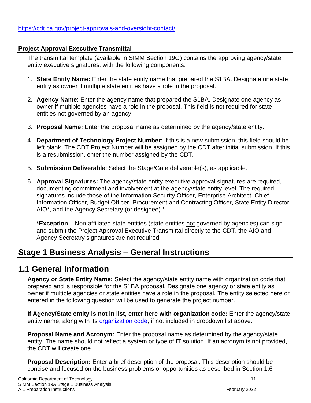## **Project Approval Executive Transmittal**

The transmittal template (available in SIMM Section 19G) contains the approving agency/state entity executive signatures, with the following components:

- 1. **State Entity Name:** Enter the state entity name that prepared the S1BA. Designate one state entity as owner if multiple state entities have a role in the proposal.
- 2. **Agency Name**: Enter the agency name that prepared the S1BA. Designate one agency as owner if multiple agencies have a role in the proposal. This field is not required for state entities not governed by an agency.
- 3. **Proposal Name:** Enter the proposal name as determined by the agency/state entity.
- 4. **Department of Technology Project Number**: If this is a new submission, this field should be left blank. The CDT Project Number will be assigned by the CDT after initial submission. If this is a resubmission, enter the number assigned by the CDT.
- 5. **Submission Deliverable**: Select the Stage/Gate deliverable(s), as applicable.
- 6. **Approval Signatures:** The agency/state entity executive approval signatures are required, documenting commitment and involvement at the agency/state entity level. The required signatures include those of the Information Security Officer, Enterprise Architect, Chief Information Officer, Budget Officer, Procurement and Contracting Officer, State Entity Director, AIO\*, and the Agency Secretary (or designee).\*

**\*Exception** – Non-affiliated state entities (state entities not governed by agencies) can sign and submit the Project Approval Executive Transmittal directly to the CDT, the AIO and Agency Secretary signatures are not required.

# <span id="page-11-0"></span>**Stage 1 Business Analysis – General Instructions**

# <span id="page-11-1"></span>**1.1 General Information**

**Agency or State Entity Name:** Select the agency/state entity name with organization code that prepared and is responsible for the S1BA proposal. Designate one agency or state entity as owner if multiple agencies or state entities have a role in the proposal. The entity selected here or entered in the following question will be used to generate the project number.

**If Agency/State entity is not in list, enter here with organization code:** Enter the agency/state entity name, along with its [organization code,](http://dof.ca.gov/Accounting/Policies_and_Procedures/Uniform_Codes_Manual/organization_codes/documents/5orgnumb.pdf) if not included in dropdown list above.

**Proposal Name and Acronym:** Enter the proposal name as determined by the agency/state entity. The name should not reflect a system or type of IT solution. If an acronym is not provided, the CDT will create one.

**Proposal Description:** Enter a brief description of the proposal. This description should be concise and focused on the business problems or opportunities as described in Section 1.6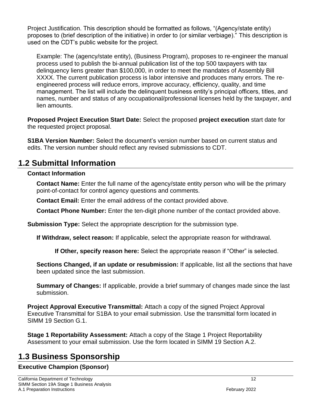Project Justification. This description should be formatted as follows, "(Agency/state entity) proposes to (brief description of the initiative) in order to (or similar verbiage)." This description is used on the CDT's public website for the project.

Example: The (agency/state entity), (Business Program), proposes to re-engineer the manual process used to publish the bi-annual publication list of the top 500 taxpayers with tax delinquency liens greater than \$100,000, in order to meet the mandates of Assembly Bill XXXX. The current publication process is labor intensive and produces many errors. The reengineered process will reduce errors, improve accuracy, efficiency, quality, and time management. The list will include the delinquent business entity's principal officers, titles, and names, number and status of any occupational/professional licenses held by the taxpayer, and lien amounts.

**Proposed Project Execution Start Date:** Select the proposed **project execution** start date for the requested project proposal.

**S1BA Version Number:** Select the document's version number based on current status and edits. The version number should reflect any revised submissions to CDT.

# <span id="page-12-0"></span>**1.2 Submittal Information**

## **Contact Information**

**Contact Name:** Enter the full name of the agency/state entity person who will be the primary point-of-contact for control agency questions and comments.

**Contact Email:** Enter the email address of the contact provided above.

**Contact Phone Number:** Enter the ten-digit phone number of the contact provided above.

**Submission Type:** Select the appropriate description for the submission type.

**If Withdraw, select reason:** If applicable, select the appropriate reason for withdrawal.

**If Other, specify reason here:** Select the appropriate reason if "Other" is selected.

**Sections Changed, if an update or resubmission:** If applicable, list all the sections that have been updated since the last submission.

**Summary of Changes:** If applicable, provide a brief summary of changes made since the last submission.

**Project Approval Executive Transmittal:** Attach a copy of the signed Project Approval Executive Transmittal for S1BA to your email submission. Use the transmittal form located in SIMM 19 Section G.1.

**Stage 1 Reportability Assessment:** Attach a copy of the Stage 1 Project Reportability Assessment to your email submission. Use the form located in SIMM 19 Section A.2.

# <span id="page-12-1"></span>**1.3 Business Sponsorship**

## **Executive Champion (Sponsor)**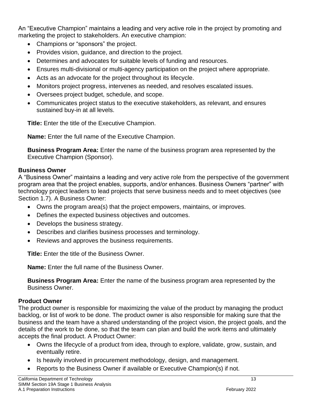An "Executive Champion" maintains a leading and very active role in the project by promoting and marketing the project to stakeholders. An executive champion:

- Champions or "sponsors" the project.
- Provides vision, guidance, and direction to the project.
- Determines and advocates for suitable levels of funding and resources.
- Ensures multi-divisional or multi-agency participation on the project where appropriate.
- Acts as an advocate for the project throughout its lifecycle.
- Monitors project progress, intervenes as needed, and resolves escalated issues.
- Oversees project budget, schedule, and scope.
- Communicates project status to the executive stakeholders, as relevant, and ensures sustained buy-in at all levels.

**Title:** Enter the title of the Executive Champion.

**Name:** Enter the full name of the Executive Champion.

**Business Program Area:** Enter the name of the business program area represented by the Executive Champion (Sponsor).

## **Business Owner**

A "Business Owner" maintains a leading and very active role from the perspective of the government program area that the project enables, supports, and/or enhances. Business Owners "partner" with technology project leaders to lead projects that serve business needs and to meet objectives (see Section 1.7). A Business Owner:

- Owns the program area(s) that the project empowers, maintains, or improves.
- Defines the expected business objectives and outcomes.
- Develops the business strategy.
- Describes and clarifies business processes and terminology.
- Reviews and approves the business requirements.

**Title:** Enter the title of the Business Owner.

**Name:** Enter the full name of the Business Owner.

**Business Program Area:** Enter the name of the business program area represented by the Business Owner.

## **Product Owner**

The product owner is responsible for maximizing the value of the product by managing the product backlog, or list of work to be done. The product owner is also responsible for making sure that the business and the team have a shared understanding of the project vision, the project goals, and the details of the work to be done, so that the team can plan and build the work items and ultimately accepts the final product. A Product Owner:

- Owns the lifecycle of a product from idea, through to explore, validate, grow, sustain, and eventually retire.
- Is heavily involved in procurement methodology, design, and management.
- Reports to the Business Owner if available or Executive Champion(s) if not.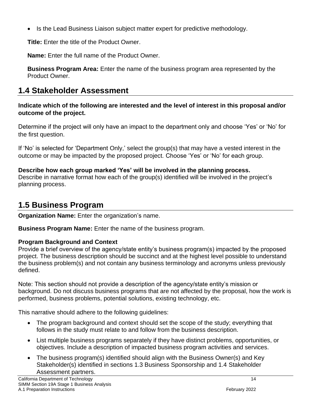• Is the Lead Business Liaison subject matter expert for predictive methodology.

**Title:** Enter the title of the Product Owner.

**Name:** Enter the full name of the Product Owner.

**Business Program Area:** Enter the name of the business program area represented by the Product Owner.

# <span id="page-14-0"></span>**1.4 Stakeholder Assessment**

**Indicate which of the following are interested and the level of interest in this proposal and/or outcome of the project.**

Determine if the project will only have an impact to the department only and choose 'Yes' or 'No' for the first question.

If 'No' is selected for 'Department Only,' select the group(s) that may have a vested interest in the outcome or may be impacted by the proposed project. Choose 'Yes' or 'No' for each group.

## **Describe how each group marked 'Yes' will be involved in the planning process.**

Describe in narrative format how each of the group(s) identified will be involved in the project's planning process.

# <span id="page-14-1"></span>**1.5 Business Program**

**Organization Name:** Enter the organization's name.

**Business Program Name:** Enter the name of the business program.

## **Program Background and Context**

Provide a brief overview of the agency/state entity's business program(s) impacted by the proposed project. The business description should be succinct and at the highest level possible to understand the business problem(s) and not contain any business terminology and acronyms unless previously defined.

Note: This section should not provide a description of the agency/state entity's mission or background. Do not discuss business programs that are not affected by the proposal, how the work is performed, business problems, potential solutions, existing technology, etc.

This narrative should adhere to the following guidelines:

- The program background and context should set the scope of the study; everything that follows in the study must relate to and follow from the business description.
- List multiple business programs separately if they have distinct problems, opportunities, or objectives. Include a description of impacted business program activities and services.
- The business program(s) identified should align with the Business Owner(s) and Key Stakeholder(s) identified in sections 1.3 Business Sponsorship and 1.4 Stakeholder Assessment partners.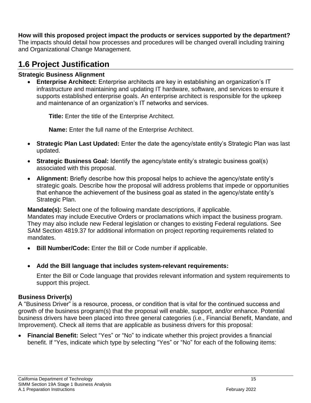## **How will this proposed project impact the products or services supported by the department?**

The impacts should detail how processes and procedures will be changed overall including training and Organizational Change Management.

# <span id="page-15-0"></span>**1.6 Project Justification**

## **Strategic Business Alignment**

• **Enterprise Architect:** Enterprise architects are key in establishing an organization's IT infrastructure and maintaining and updating IT hardware, software, and services to ensure it supports established enterprise goals. An enterprise architect is responsible for the upkeep and maintenance of an organization's IT networks and services.

**Title:** Enter the title of the Enterprise Architect.

**Name:** Enter the full name of the Enterprise Architect.

- **Strategic Plan Last Updated:** Enter the date the agency/state entity's Strategic Plan was last updated.
- **Strategic Business Goal:** Identify the agency/state entity's strategic business goal(s) associated with this proposal.
- **Alignment:** Briefly describe how this proposal helps to achieve the agency/state entity's strategic goals. Describe how the proposal will address problems that impede or opportunities that enhance the achievement of the business goal as stated in the agency/state entity's Strategic Plan.

**Mandate(s):** Select one of the following mandate descriptions, if applicable.

Mandates may include Executive Orders or proclamations which impact the business program. They may also include new Federal legislation or changes to existing Federal regulations. See SAM Section 4819.37 for additional information on project reporting requirements related to mandates.

- **Bill Number/Code:** Enter the Bill or Code number if applicable.
- **Add the Bill language that includes system-relevant requirements:**

Enter the Bill or Code language that provides relevant information and system requirements to support this project.

## **Business Driver(s)**

A "Business Driver" is a resource, process, or condition that is vital for the continued success and growth of the business program(s) that the proposal will enable, support, and/or enhance. Potential business drivers have been placed into three general categories (i.e., Financial Benefit, Mandate, and Improvement). Check all items that are applicable as business drivers for this proposal:

• **Financial Benefit:** Select "Yes" or "No" to indicate whether this project provides a financial benefit. If "Yes, indicate which type by selecting "Yes" or "No" for each of the following items: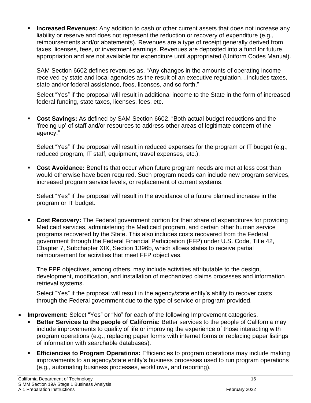**Increased Revenues:** Any addition to cash or other current assets that does not increase any liability or reserve and does not represent the reduction or recovery of expenditure (e.g., reimbursements and/or abatements). Revenues are a type of receipt generally derived from taxes, licenses, fees, or investment earnings. Revenues are deposited into a fund for future appropriation and are not available for expenditure until appropriated (Uniform Codes Manual).

SAM Section 6602 defines revenues as, "Any changes in the amounts of operating income received by state and local agencies as the result of an executive regulation…includes taxes, state and/or federal assistance, fees, licenses, and so forth."

Select "Yes" if the proposal will result in additional income to the State in the form of increased federal funding, state taxes, licenses, fees, etc.

**Cost Savings:** As defined by SAM Section 6602, "Both actual budget reductions and the 'freeing up' of staff and/or resources to address other areas of legitimate concern of the agency."

Select "Yes" if the proposal will result in reduced expenses for the program or IT budget (e.g., reduced program, IT staff, equipment, travel expenses, etc.).

**Cost Avoidance:** Benefits that occur when future program needs are met at less cost than would otherwise have been required. Such program needs can include new program services, increased program service levels, or replacement of current systems.

Select "Yes" if the proposal will result in the avoidance of a future planned increase in the program or IT budget.

**Cost Recovery:** The Federal government portion for their share of expenditures for providing Medicaid services, administering the Medicaid program, and certain other human service programs recovered by the State. This also includes costs recovered from the Federal government through the Federal Financial Participation (FFP) under U.S. Code, Title 42, Chapter 7, Subchapter XIX, Section 1396b, which allows states to receive partial reimbursement for activities that meet FFP objectives.

The FPP objectives, among others, may include activities attributable to the design, development, modification, and installation of mechanized claims processes and information retrieval systems.

Select "Yes" if the proposal will result in the agency/state entity's ability to recover costs through the Federal government due to the type of service or program provided.

- **Improvement:** Select "Yes" or "No" for each of the following Improvement categories.
	- **Better Services to the people of California:** Better services to the people of California may include improvements to quality of life or improving the experience of those interacting with program operations (e.g., replacing paper forms with internet forms or replacing paper listings of information with searchable databases).
	- **Efficiencies to Program Operations:** Efficiencies to program operations may include making improvements to an agency/state entity's business processes used to run program operations (e.g., automating business processes, workflows, and reporting).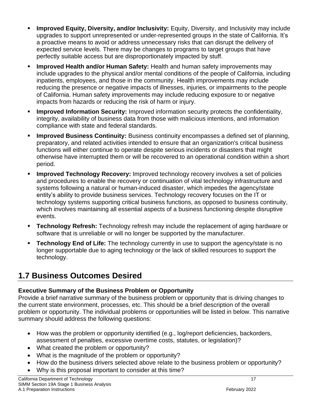- **Improved Equity, Diversity, and/or Inclusivity:** Equity, Diversity, and Inclusivity may include upgrades to support unrepresented or under-represented groups in the state of California. It's a proactive means to avoid or address unnecessary risks that can disrupt the delivery of expected service levels. There may be changes to programs to target groups that have perfectly suitable access but are disproportionately impacted by stuff.
- **Improved Health and/or Human Safety:** Health and human safety improvements may include upgrades to the physical and/or mental conditions of the people of California, including inpatients, employees, and those in the community. Health improvements may include reducing the presence or negative impacts of illnesses, injuries, or impairments to the people of California. Human safety improvements may include reducing exposure to or negative impacts from hazards or reducing the risk of harm or injury.
- **Improved Information Security:** Improved information security protects the confidentiality, integrity, availability of business data from those with malicious intentions, and information compliance with state and federal standards.
- **Improved Business Continuity:** Business continuity encompasses a defined set of planning, preparatory, and related activities intended to ensure that an organization's critical business functions will either continue to operate despite serious incidents or disasters that might otherwise have interrupted them or will be recovered to an operational condition within a short period.
- **Improved Technology Recovery:** Improved technology recovery involves a set of policies and procedures to enable the recovery or continuation of vital technology infrastructure and systems following a natural or human-induced disaster, which impedes the agency/state entity's ability to provide business services. Technology recovery focuses on the IT or technology systems supporting critical business functions, as opposed to business continuity, which involves maintaining all essential aspects of a business functioning despite disruptive events.
- **Technology Refresh:** Technology refresh may include the replacement of aging hardware or software that is unreliable or will no longer be supported by the manufacturer.
- **Technology End of Life:** The technology currently in use to support the agency/state is no longer supportable due to aging technology or the lack of skilled resources to support the technology.

# <span id="page-17-0"></span>**1.7 Business Outcomes Desired**

## **Executive Summary of the Business Problem or Opportunity**

Provide a brief narrative summary of the business problem or opportunity that is driving changes to the current state environment, processes, etc. This should be a brief description of the overall problem or opportunity. The individual problems or opportunities will be listed in below. This narrative summary should address the following questions:

- How was the problem or opportunity identified (e.g., log/report deficiencies, backorders, assessment of penalties, excessive overtime costs, statutes, or legislation)?
- What created the problem or opportunity?
- What is the magnitude of the problem or opportunity?
- How do the business drivers selected above relate to the business problem or opportunity?
- Why is this proposal important to consider at this time?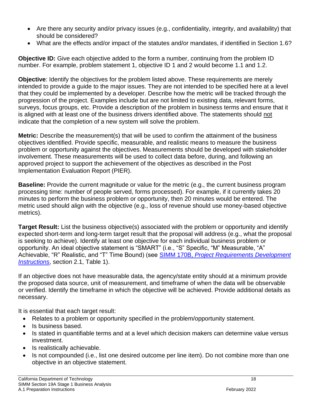- Are there any security and/or privacy issues (e.g., confidentiality, integrity, and availability) that should be considered?
- What are the effects and/or impact of the statutes and/or mandates, if identified in Section 1.6?

**Objective ID:** Give each objective added to the form a number, continuing from the problem ID number. For example, problem statement 1, objective ID 1 and 2 would become 1.1 and 1.2.

**Objective**: Identify the objectives for the problem listed above. These requirements are merely intended to provide a guide to the major issues. They are not intended to be specified here at a level that they could be implemented by a developer. Describe how the metric will be tracked through the progression of the project. Examples include but are not limited to existing data, relevant forms, surveys, focus groups, etc. Provide a description of the problem in business terms and ensure that it is aligned with at least one of the business drivers identified above. The statements should not indicate that the completion of a new system will solve the problem.

**Metric:** Describe the measurement(s) that will be used to confirm the attainment of the business objectives identified. Provide specific, measurable, and realistic means to measure the business problem or opportunity against the objectives. Measurements should be developed with stakeholder involvement. These measurements will be used to collect data before, during, and following an approved project to support the achievement of the objectives as described in the Post Implementation Evaluation Report (PIER).

**Baseline:** Provide the current magnitude or value for the metric (e.g., the current business program processing time: number of people served, forms processed). For example, if it currently takes 20 minutes to perform the business problem or opportunity, then 20 minutes would be entered. The metric used should align with the objective (e.g., loss of revenue should use money-based objective metrics).

**Target Result:** List the business objective(s) associated with the problem or opportunity and identify expected short-term and long-term target result that the proposal will address (e.g., what the proposal is seeking to achieve). Identify at least one objective for each individual business problem or opportunity. An ideal objective statement is "SMART" (i.e., "S" Specific, "M" Measurable, "A" Achievable, "R" Realistic, and "T" Time Bound) (see SIMM 170B, *[Project Requirements Development](https://cdt.ca.gov/policy/simm/)  [Instructions](https://cdt.ca.gov/policy/simm/)*, section 2.1, Table 1).

If an objective does not have measurable data, the agency/state entity should at a minimum provide the proposed data source, unit of measurement, and timeframe of when the data will be observable or verified. Identify the timeframe in which the objective will be achieved. Provide additional details as necessary.

It is essential that each target result:

- Relates to a problem or opportunity specified in the problem/opportunity statement.
- Is business based.
- Is stated in quantifiable terms and at a level which decision makers can determine value versus investment.
- Is realistically achievable.
- Is not compounded (i.e., list one desired outcome per line item). Do not combine more than one objective in an objective statement.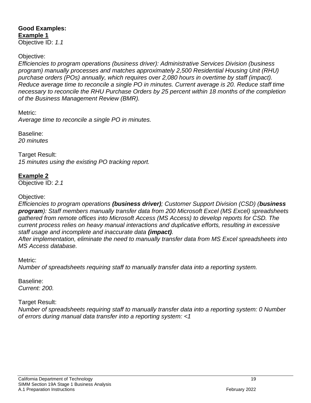# **Good Examples: Example 1**

Objective ID: *1.1*

## Objective:

*Efficiencies to program operations (business driver): Administrative Services Division (business program) manually processes and matches approximately 2,500 Residential Housing Unit (RHU) purchase orders (POs) annually, which requires over 2,080 hours in overtime by staff (impact). Reduce* a*verage time to reconcile a single PO in minutes. Current average is 20. Reduce staff time necessary to reconcile the RHU Purchase Orders by 25 percent within 18 months of the completion of the Business Management Review (BMR).*

Metric:

*Average time to reconcile a single PO in minutes.* 

Baseline: *20 minutes*

Target Result: *15 minutes using the existing PO tracking report.*

## **Example 2**

Objective ID: *2.1*

## Objective:

*Efficiencies to program operations (business driver); Customer Support Division (CSD) (business program): Staff members manually transfer data from 200 Microsoft Excel (MS Excel) spreadsheets gathered from remote offices into Microsoft Access (MS Access) to develop reports for CSD. The current process relies on heavy manual interactions and duplicative efforts, resulting in excessive staff usage and incomplete and inaccurate data (impact).*

*After implementation, eliminate the need to manually transfer data from MS Excel spreadsheets into MS Access database.* 

Metric:

*Number of spreadsheets requiring staff to manually transfer data into a reporting system.* 

#### Baseline: *Current: 200.*

Target Result:

*Number of spreadsheets requiring staff to manually transfer data into a reporting system: 0 Number of errors during manual data transfer into a reporting system: <1*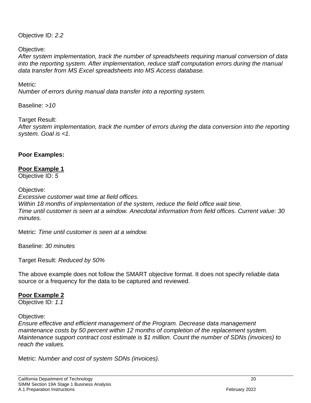Objective ID: *2.2*

Objective:

*After system implementation, track the number of spreadsheets requiring manual conversion of data into the reporting system. After implementation, reduce staff computation errors during the manual data transfer from MS Excel spreadsheets into MS Access database.*

#### Metric:

*Number of errors during manual data transfer into a reporting system.*

Baseline: *>10*

Target Result: *After system implementation, track the number of errors during the data conversion into the reporting system. Goal is <1.*

#### **Poor Examples:**

## **Poor Example 1**

Objective ID: *5*

Objective:

*Excessive customer wait time at field offices. Within 18 months of implementation of the system, reduce the field office wait time. Time until customer is seen at a window. Anecdotal information from field offices. Current value: 30 minutes.*

Metric: *Time until customer is seen at a window.*

Baseline: *30 minutes*

Target Result: *Reduced by 50%*

The above example does not follow the SMART objective format. It does not specify reliable data source or a frequency for the data to be captured and reviewed.

#### **Poor Example 2**

Objective ID: *1.1*

Objective:

*Ensure effective and efficient management of the Program. Decrease data management maintenance costs by 50 percent within 12 months of completion of the replacement system. Maintenance support contract cost estimate is \$1 million. Count the number of SDNs (invoices) to reach the values.*

Metric: *Number and cost of system SDNs (invoices).*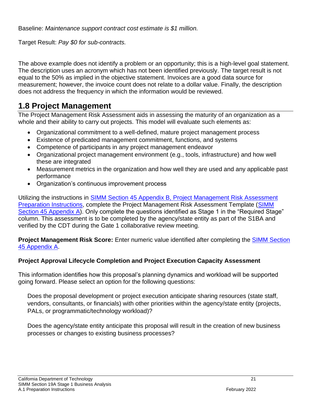Baseline: *Maintenance support contract cost estimate is \$1 million.* 

Target Result: *Pay \$0 for sub-contracts.*

The above example does not identify a problem or an opportunity; this is a high-level goal statement. The description uses an acronym which has not been identified previously. The target result is not equal to the 50% as implied in the objective statement. Invoices are a good data source for measurement; however, the invoice count does not relate to a dollar value. Finally, the description does not address the frequency in which the information would be reviewed.

# <span id="page-21-0"></span>**1.8 Project Management**

The Project Management Risk Assessment aids in assessing the maturity of an organization as a whole and their ability to carry out projects. This model will evaluate such elements as:

- Organizational commitment to a well-defined, mature project management process
- Existence of predicated management commitment, functions, and systems
- Competence of participants in any project management endeavor
- Organizational project management environment (e.g., tools, infrastructure) and how well these are integrated
- Measurement metrics in the organization and how well they are used and any applicable past performance
- Organization's continuous improvement process

Utilizing the instructions in [SIMM Section 45 Appendix B, Project Management Risk Assessment](https://cdt.ca.gov/policy/simm/)  [Preparation Instructions,](https://cdt.ca.gov/policy/simm/) complete the Project Management Risk Assessment Template [\(SIMM](https://cdt.ca.gov/policy/simm/)  [Section 45 Appendix A\)](https://cdt.ca.gov/policy/simm/). Only complete the questions identified as Stage 1 in the "Required Stage" column. This assessment is to be completed by the agency/state entity as part of the S1BA and verified by the CDT during the Gate 1 collaborative review meeting.

**Project Management Risk Score:** Enter numeric value identified after completing the [SIMM Section](https://cdt.ca.gov/policy/simm/)  [45 Appendix A.](https://cdt.ca.gov/policy/simm/)

## **Project Approval Lifecycle Completion and Project Execution Capacity Assessment**

This information identifies how this proposal's planning dynamics and workload will be supported going forward. Please select an option for the following questions:

Does the proposal development or project execution anticipate sharing resources (state staff, vendors, consultants, or financials) with other priorities within the agency/state entity (projects, PALs, or programmatic/technology workload)?

Does the agency/state entity anticipate this proposal will result in the creation of new business processes or changes to existing business processes?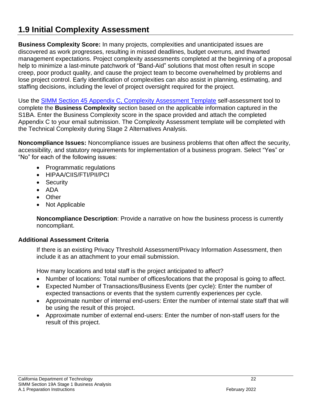# <span id="page-22-0"></span>**1.9 Initial Complexity Assessment**

**Business Complexity Score:** In many projects, complexities and unanticipated issues are discovered as work progresses, resulting in missed deadlines, budget overruns, and thwarted management expectations. Project complexity assessments completed at the beginning of a proposal help to minimize a last-minute patchwork of "Band-Aid" solutions that most often result in scope creep, poor product quality, and cause the project team to become overwhelmed by problems and lose project control. Early identification of complexities can also assist in planning, estimating, and staffing decisions, including the level of project oversight required for the project.

Use the [SIMM Section 45 Appendix C, Complexity Assessment Template](https://cdt.ca.gov/policy/simm/) self-assessment tool to complete the **Business Complexity** section based on the applicable information captured in the S1BA. Enter the Business Complexity score in the space provided and attach the completed Appendix C to your email submission. The Complexity Assessment template will be completed with the Technical Complexity during Stage 2 Alternatives Analysis.

**Noncompliance Issues:** Noncompliance issues are business problems that often affect the security, accessibility, and statutory requirements for implementation of a business program. Select "Yes" or "No" for each of the following issues:

- Programmatic regulations
- HIPAA/CIIS/FTI/PII/PCI
- Security
- ADA
- Other
- Not Applicable

**Noncompliance Description**: Provide a narrative on how the business process is currently noncompliant.

## **Additional Assessment Criteria**

If there is an existing Privacy Threshold Assessment/Privacy Information Assessment, then include it as an attachment to your email submission.

How many locations and total staff is the project anticipated to affect?

- Number of locations: Total number of offices/locations that the proposal is going to affect.
- Expected Number of Transactions/Business Events (per cycle): Enter the number of expected transactions or events that the system currently experiences per cycle.
- Approximate number of internal end-users: Enter the number of internal state staff that will be using the result of this project.
- Approximate number of external end-users: Enter the number of non-staff users for the result of this project.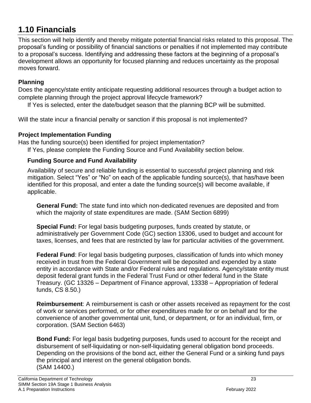# <span id="page-23-0"></span>**1.10 Financials**

This section will help identify and thereby mitigate potential financial risks related to this proposal. The proposal's funding or possibility of financial sanctions or penalties if not implemented may contribute to a proposal's success. Identifying and addressing these factors at the beginning of a proposal's development allows an opportunity for focused planning and reduces uncertainty as the proposal moves forward.

## **Planning**

Does the agency/state entity anticipate requesting additional resources through a budget action to complete planning through the project approval lifecycle framework?

If Yes is selected, enter the date/budget season that the planning BCP will be submitted.

Will the state incur a financial penalty or sanction if this proposal is not implemented?

## **Project Implementation Funding**

Has the funding source(s) been identified for project implementation? If Yes, please complete the Funding Source and Fund Availability section below.

## **Funding Source and Fund Availability**

Availability of secure and reliable funding is essential to successful project planning and risk mitigation. Select "Yes" or "No" on each of the applicable funding source(s), that has/have been identified for this proposal, and enter a date the funding source(s) will become available, if applicable.

**General Fund:** The state fund into which non-dedicated revenues are deposited and from which the majority of state expenditures are made. (SAM Section 6899)

**Special Fund:** For legal basis budgeting purposes, funds created by statute, or administratively per Government Code (GC) section 13306, used to budget and account for taxes, licenses, and fees that are restricted by law for particular activities of the government.

**Federal Fund**: For legal basis budgeting purposes, classification of funds into which money received in trust from the Federal Government will be deposited and expended by a state entity in accordance with State and/or Federal rules and regulations. Agency/state entity must deposit federal grant funds in the Federal Trust Fund or other federal fund in the State Treasury. (GC 13326 – Department of Finance approval, 13338 – Appropriation of federal funds, CS 8.50.)

**Reimbursement**: A reimbursement is cash or other assets received as repayment for the cost of work or services performed, or for other expenditures made for or on behalf and for the convenience of another governmental unit, fund, or department, or for an individual, firm, or corporation. (SAM Section 6463)

**Bond Fund:** For legal basis budgeting purposes, funds used to account for the receipt and disbursement of self-liquidating or non-self-liquidating general obligation bond proceeds. Depending on the provisions of the bond act, either the General Fund or a sinking fund pays the principal and interest on the general obligation bonds. (SAM 14400.)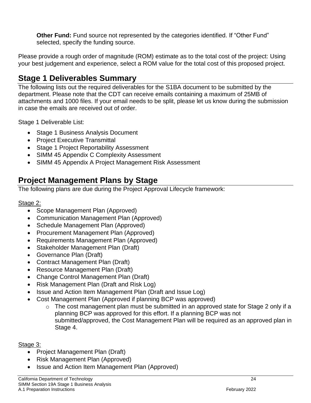**Other Fund:** Fund source not represented by the categories identified. If "Other Fund" selected, specify the funding source.

Please provide a rough order of magnitude (ROM) estimate as to the total cost of the project: Using your best judgement and experience, select a ROM value for the total cost of this proposed project.

# <span id="page-24-0"></span>**Stage 1 Deliverables Summary**

The following lists out the required deliverables for the S1BA document to be submitted by the department. Please note that the CDT can receive emails containing a maximum of 25MB of attachments and 1000 files. If your email needs to be split, please let us know during the submission in case the emails are received out of order.

Stage 1 Deliverable List:

- Stage 1 Business Analysis Document
- Project Executive Transmittal
- Stage 1 Project Reportability Assessment
- SIMM 45 Appendix C Complexity Assessment
- SIMM 45 Appendix A Project Management Risk Assessment

# <span id="page-24-1"></span>**Project Management Plans by Stage**

The following plans are due during the Project Approval Lifecycle framework:

## Stage 2:

- Scope Management Plan (Approved)
- Communication Management Plan (Approved)
- Schedule Management Plan (Approved)
- Procurement Management Plan (Approved)
- Requirements Management Plan (Approved)
- Stakeholder Management Plan (Draft)
- Governance Plan (Draft)
- Contract Management Plan (Draft)
- Resource Management Plan (Draft)
- Change Control Management Plan (Draft)
- Risk Management Plan (Draft and Risk Log)
- Issue and Action Item Management Plan (Draft and Issue Log)
- Cost Management Plan (Approved if planning BCP was approved)
	- o The cost management plan must be submitted in an approved state for Stage 2 only if a planning BCP was approved for this effort. If a planning BCP was not submitted/approved, the Cost Management Plan will be required as an approved plan in Stage 4.

#### Stage 3:

- Project Management Plan (Draft)
- Risk Management Plan (Approved)
- Issue and Action Item Management Plan (Approved)